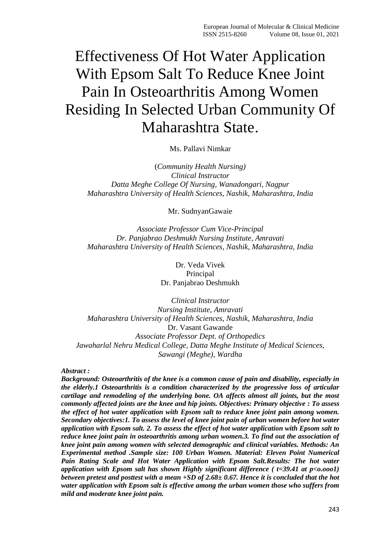# Effectiveness Of Hot Water Application With Epsom Salt To Reduce Knee Joint Pain In Osteoarthritis Among Women Residing In Selected Urban Community Of Maharashtra State.

Ms. Pallavi Nimkar

(*Community Health Nursing) Clinical Instructor Datta Meghe College Of Nursing, Wanadongari, Nagpur Maharashtra University of Health Sciences, Nashik, Maharashtra, India*

Mr. SudnyanGawaie

*Associate Professor Cum Vice-Principal Dr. Panjabrao Deshmukh Nursing Institute, Amravati Maharashtra University of Health Sciences, Nashik, Maharashtra, India*

> Dr. Veda Vivek Principal Dr. Panjabrao Deshmukh

*Clinical Instructor Nursing Institute, Amravati Maharashtra University of Health Sciences, Nashik, Maharashtra, India* Dr. Vasant Gawande *Associate Professor Dept. of Orthopedics Jawaharlal Nehru Medical College, Datta Meghe Institute of Medical Sciences, Sawangi (Meghe), Wardha*

#### *Abstract :*

*Background: Osteoarthritis of the knee is a common cause of pain and disability, especially in the elderly.1 Osteoarthritis is a condition characterized by the progressive loss of articular cartilage and remodeling of the underlying bone. OA affects almost all joints, but the most commonly affected joints are the knee and hip joints. Objectives: Primary objective : To assess the effect of hot water application with Epsom salt to reduce knee joint pain among women. Secondary objectives:1. To assess the level of knee joint pain of urban women before hot water application with Epsom salt. 2. To assess the effect of hot water application with Epsom salt to reduce knee joint pain in osteoarthritis among urban women.3. To find out the association of knee joint pain among women with selected demographic and clinical variables. Methods: An Experimental method .Sample size: 100 Urban Women. Material: Eleven Point Numerical Pain Rating Scale and Hot Water Application with Epsom Salt.Results: The hot water application with Epsom salt has shown Highly significant difference ( t=39.41 at p<o.ooo1) between pretest and posttest with a mean +SD of 2.68± 0.67. Hence it is concluded that the hot water application with Epsom salt is effective among the urban women those who suffers from mild and moderate knee joint pain.*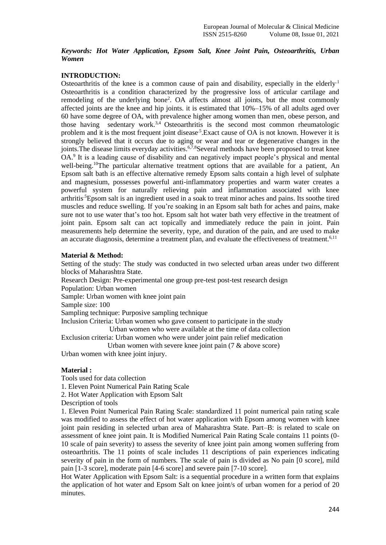#### *Keywords: Hot Water Application, Epsom Salt, Knee Joint Pain, Osteoarthritis, Urban Women*

# **INTRODUCTION:**

Osteoarthritis of the knee is a common cause of pain and disability, especially in the elderly.<sup>1</sup> Osteoarthritis is a condition characterized by the progressive loss of articular cartilage and remodeling of the underlying bone<sup>2</sup>. OA affects almost all joints, but the most commonly affected joints are the knee and hip joints. it is estimated that 10%–15% of all adults aged over 60 have some degree of OA, with prevalence higher among women than men, obese person, and those having sedentary work.<sup>3,4</sup> Osteoarthritis is the second most common rheumatologic problem and it is the most frequent joint disease<sup>5</sup>. Exact cause of OA is not known. However it is strongly believed that it occurs due to aging or wear and tear or degenerative changes in the joints. The disease limits everyday activities. <sup>6,7,8</sup>Several methods have been proposed to treat knee OA.<sup>9</sup> It is a leading cause of disability and can negatively impact people's physical and mental well-being.<sup>10</sup>The particular alternative treatment options that are available for a patient, An Epsom salt bath is an effective alternative remedy Epsom salts contain a high level of sulphate and magnesium, possesses powerful anti-inflammatory properties and warm water creates a powerful system for naturally relieving pain and inflammation associated with knee arthritis.5Epsom salt is an ingredient used in a soak to treat minor aches and pains. Its soothe tired muscles and reduce swelling. If you're soaking in an Epsom salt bath for aches and pains, make sure not to use water that's too hot. Epsom salt hot water bath very effective in the treatment of joint pain. Epsom salt can act topically and immediately reduce the pain in joint. Pain measurements help determine the severity, type, and duration of the pain, and are used to make an accurate diagnosis, determine a treatment plan, and evaluate the effectiveness of treatment.<sup>6,11</sup>

#### **Material & Method:**

Setting of the study: The study was conducted in two selected urban areas under two different blocks of Maharashtra State.

Research Design: Pre-experimental one group pre-test post-test research design

Population: Urban women

Sample: Urban women with knee joint pain

Sample size: 100

Sampling technique: Purposive sampling technique

Inclusion Criteria: Urban women who gave consent to participate in the study Urban women who were available at the time of data collection

Exclusion criteria: Urban women who were under joint pain relief medication

 Urban women with severe knee joint pain (7 & above score) Urban women with knee joint injury.

#### **Material :**

Tools used for data collection

1. Eleven Point Numerical Pain Rating Scale

2. Hot Water Application with Epsom Salt

Description of tools

1. Eleven Point Numerical Pain Rating Scale: standardized 11 point numerical pain rating scale was modified to assess the effect of hot water application with Epsom among women with knee joint pain residing in selected urban area of Maharashtra State. Part–B: is related to scale on assessment of knee joint pain. It is Modified Numerical Pain Rating Scale contains 11 points (0- 10 scale of pain severity) to assess the severity of knee joint pain among women suffering from osteoarthritis. The 11 points of scale includes 11 descriptions of pain experiences indicating severity of pain in the form of numbers. The scale of pain is divided as No pain [0 score], mild pain [1-3 score], moderate pain [4-6 score] and severe pain [7-10 score].

Hot Water Application with Epsom Salt: is a sequential procedure in a written form that explains the application of hot water and Epsom Salt on knee joint/s of urban women for a period of 20 minutes.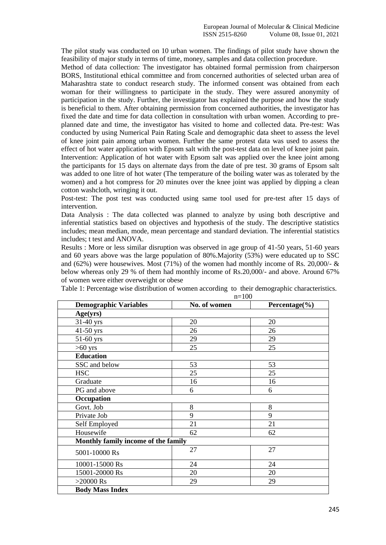The pilot study was conducted on 10 urban women. The findings of pilot study have shown the feasibility of major study in terms of time, money, samples and data collection procedure.

Method of data collection: The investigator has obtained formal permission from chairperson BORS, Institutional ethical committee and from concerned authorities of selected urban area of Maharashtra state to conduct research study. The informed consent was obtained from each woman for their willingness to participate in the study. They were assured anonymity of participation in the study. Further, the investigator has explained the purpose and how the study is beneficial to them. After obtaining permission from concerned authorities, the investigator has fixed the date and time for data collection in consultation with urban women. According to preplanned date and time, the investigator has visited to home and collected data. Pre-test: Was conducted by using Numerical Pain Rating Scale and demographic data sheet to assess the level of knee joint pain among urban women. Further the same protest data was used to assess the effect of hot water application with Epsom salt with the post-test data on level of knee joint pain. Intervention: Application of hot water with Epsom salt was applied over the knee joint among the participants for 15 days on alternate days from the date of pre test. 30 grams of Epsom salt was added to one litre of hot water (The temperature of the boiling water was as tolerated by the women) and a hot compress for 20 minutes over the knee joint was applied by dipping a clean cotton washcloth, wringing it out.

Post-test: The post test was conducted using same tool used for pre-test after 15 days of intervention.

Data Analysis : The data collected was planned to analyze by using both descriptive and inferential statistics based on objectives and hypothesis of the study. The descriptive statistics includes; mean median, mode, mean percentage and standard deviation. The inferential statistics includes; t test and ANOVA.

Results : More or less similar disruption was observed in age group of 41-50 years, 51-60 years and 60 years above was the large population of 80%.Majority (53%) were educated up to SSC and (62%) were housewives. Most (71%) of the women had monthly income of Rs. 20,000/-  $\&$ below whereas only 29 % of them had monthly income of Rs.20,000/- and above. Around 67% of women were either overweight or obese

|                                     | $n=100$      |                    |  |  |  |  |
|-------------------------------------|--------------|--------------------|--|--|--|--|
| <b>Demographic Variables</b>        | No. of women | Percentage $(\% )$ |  |  |  |  |
| Age(yrs)                            |              |                    |  |  |  |  |
| $31-40$ yrs                         | 20           | 20                 |  |  |  |  |
| $41-50$ yrs                         | 26           | 26                 |  |  |  |  |
| 51-60 yrs                           | 29           | 29                 |  |  |  |  |
| $>60$ yrs                           | 25           | 25                 |  |  |  |  |
| <b>Education</b>                    |              |                    |  |  |  |  |
| SSC and below                       | 53           | 53                 |  |  |  |  |
| <b>HSC</b>                          | 25           | 25                 |  |  |  |  |
| Graduate                            | 16           | 16                 |  |  |  |  |
| PG and above                        | 6            | 6                  |  |  |  |  |
| Occupation                          |              |                    |  |  |  |  |
| Govt. Job                           | 8            | 8                  |  |  |  |  |
| Private Job                         | 9            | 9                  |  |  |  |  |
| Self Employed                       | 21           | 21                 |  |  |  |  |
| Housewife                           | 62           | 62                 |  |  |  |  |
| Monthly family income of the family |              |                    |  |  |  |  |
| 5001-10000 Rs                       | 27           | 27                 |  |  |  |  |
| 10001-15000 Rs                      | 24           | 24                 |  |  |  |  |
| 15001-20000 Rs                      | 20           | 20                 |  |  |  |  |
| $>20000$ Rs                         | 29           | 29                 |  |  |  |  |
| <b>Body Mass Index</b>              |              |                    |  |  |  |  |

Table 1: Percentage wise distribution of women according to their demographic characteristics.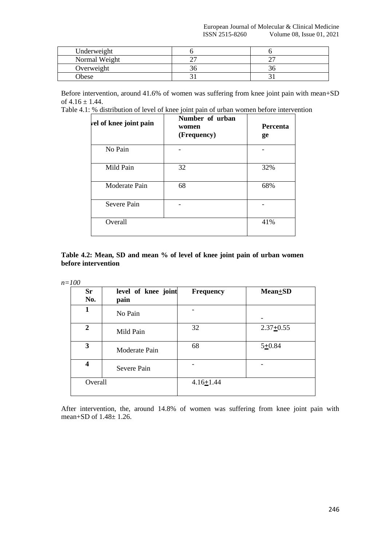| Underweight   |    |
|---------------|----|
| Normal Weight |    |
| Overweight    | эτ |
| Obese         |    |

Before intervention, around 41.6% of women was suffering from knee joint pain with mean+SD of  $4.16 \pm 1.44$ .

Table 4.1: % distribution of level of knee joint pain of urban women before intervention

| vel of knee joint pain | Number of urban<br>women<br>(Frequency) | <b>Percenta</b><br>ge |
|------------------------|-----------------------------------------|-----------------------|
| No Pain                |                                         |                       |
| Mild Pain              | 32                                      | 32%                   |
| Moderate Pain          | 68                                      | 68%                   |
| Severe Pain            |                                         |                       |
| Overall                |                                         | 41%                   |

#### **Table 4.2: Mean, SD and mean % of level of knee joint pain of urban women before intervention**

| and the<br>۰.<br>۰.<br>×<br>× |
|-------------------------------|
|-------------------------------|

| <b>Sr</b><br>No.        | level of knee joint<br>pain | <b>Frequency</b> | $Mean + SD$     |
|-------------------------|-----------------------------|------------------|-----------------|
| 1                       | No Pain                     |                  |                 |
| $\mathbf{2}$            | Mild Pain                   | 32               | $2.37 \pm 0.55$ |
| 3                       | Moderate Pain               | 68               | $5 + 0.84$      |
| $\overline{\mathbf{4}}$ | Severe Pain                 |                  |                 |
| Overall                 |                             | $4.16 \pm 1.44$  |                 |

After intervention, the, around 14.8% of women was suffering from knee joint pain with mean+SD of 1.48± 1.26.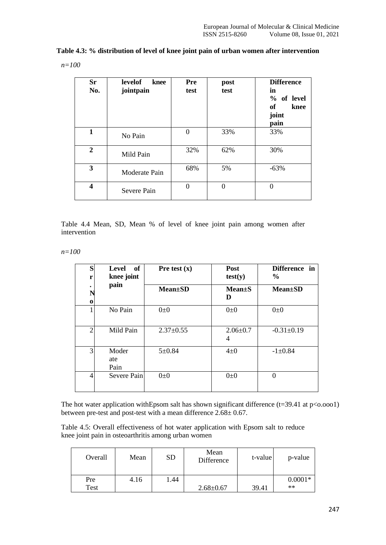|  |  |  | Table 4.3: % distribution of level of knee joint pain of urban women after intervention |
|--|--|--|-----------------------------------------------------------------------------------------|
|--|--|--|-----------------------------------------------------------------------------------------|

$$
n{=}100
$$

| <b>Sr</b><br>No. | <b>levelof</b><br>knee<br>jointpain | Pre<br>test    | post<br>test | <b>Difference</b><br>in<br>% of level<br>of<br>knee<br>joint<br>pain |
|------------------|-------------------------------------|----------------|--------------|----------------------------------------------------------------------|
| $\mathbf{1}$     | No Pain                             | $\overline{0}$ | 33%          | 33%                                                                  |
| $\overline{2}$   | Mild Pain                           | 32%            | 62%          | 30%                                                                  |
| 3                | Moderate Pain                       | 68%            | 5%           | $-63%$                                                               |
| 4                | Severe Pain                         | $\Omega$       | $\Omega$     | $\theta$                                                             |

Table 4.4 Mean, SD, Mean % of level of knee joint pain among women after intervention

*n=100*

| S<br>r         | of<br>Level<br>knee joint | Pre test $(x)$  | <b>Post</b><br>test(y)           | Difference in<br>$\frac{6}{6}$ |  |  |
|----------------|---------------------------|-----------------|----------------------------------|--------------------------------|--|--|
| $\bf{0}$       | pain                      | <b>Mean</b> ±SD | <b>Mean</b> <sup>t</sup> S<br>D  | $Mean \pm SD$                  |  |  |
|                | No Pain                   | $0\pm 0$        | $0\pm 0$                         | $0\pm 0$                       |  |  |
| $\overline{2}$ | Mild Pain                 | $2.37 \pm 0.55$ | $2.06 \pm 0.7$<br>$\overline{4}$ | $-0.31 \pm 0.19$               |  |  |
| 3              | Moder<br>ate<br>Pain      | $5 \pm 0.84$    | $4\pm 0$                         | $-1 \pm 0.84$                  |  |  |
| 4              | Severe Pain               | $0\pm 0$        | $0\pm 0$                         | 0                              |  |  |

The hot water application with Epsom salt has shown significant difference  $(t=39.41 \text{ at } p<0.0001)$ between pre-test and post-test with a mean difference 2.68± 0.67.

Table 4.5: Overall effectiveness of hot water application with Epsom salt to reduce knee joint pain in osteoarthritis among urban women

| Overall | Mean | SD   | Mean<br>Difference | t-value | p-value   |
|---------|------|------|--------------------|---------|-----------|
| Pre     | 4.16 | 1.44 |                    |         | $0.0001*$ |
| Test    |      |      | $2.68 \pm 0.67$    | 39.41   | $**$      |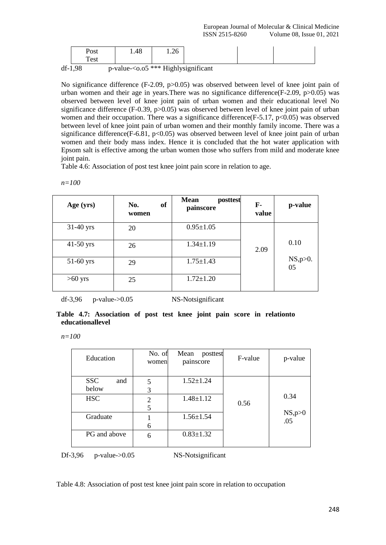df-1,98 p-value-<o.o5 \*\*\* Highlysignificant

No significance difference (F-2.09, p>0.05) was observed between level of knee joint pain of urban women and their age in years. There was no significance difference  $(F-2.09, p>0.05)$  was observed between level of knee joint pain of urban women and their educational level No significance difference (F-0.39, p>0.05) was observed between level of knee joint pain of urban women and their occupation. There was a significance difference  $(F-5.17, p<0.05)$  was observed between level of knee joint pain of urban women and their monthly family income. There was a significance difference(F-6.81,  $p<0.05$ ) was observed between level of knee joint pain of urban women and their body mass index. Hence it is concluded that the hot water application with Epsom salt is effective among the urban women those who suffers from mild and moderate knee joint pain.

Table 4.6: Association of post test knee joint pain score in relation to age.

*n=100*

| Age (yrs)   | <b>of</b><br>No.<br>women | <b>Mean</b><br>posttest<br>painscore | F-<br>value | p-value        |
|-------------|---------------------------|--------------------------------------|-------------|----------------|
| $31-40$ yrs | 20                        | $0.95 \pm 1.05$                      |             |                |
| $41-50$ yrs | 26                        | $1.34 \pm 1.19$                      | 2.09        | 0.10           |
| $51-60$ yrs | 29                        | $1.75 \pm 1.43$                      |             | NS, p>0.<br>05 |
| $>60$ yrs   | 25                        | $1.72 \pm 1.20$                      |             |                |

 $df-3,96$  p-value- $>0.05$  NS-Notsignificant

|  | Table 4.7: Association of post test knee joint pain score in relationto |  |  |  |  |  |
|--|-------------------------------------------------------------------------|--|--|--|--|--|
|  | educationallevel                                                        |  |  |  |  |  |

*n=100*

| Education                  | No. of<br>women     | Mean<br>posttest<br>painscore | F-value | p-value          |
|----------------------------|---------------------|-------------------------------|---------|------------------|
| <b>SSC</b><br>and<br>below | 5<br>3              | $1.52 \pm 1.24$               |         |                  |
| <b>HSC</b>                 | $\overline{2}$<br>5 | $1.48 \pm 1.12$               | 0.56    | 0.34             |
| Graduate                   | 6                   | $1.56 \pm 1.54$               |         | $NS, p>0$<br>.05 |
| PG and above               | 6                   | $0.83 \pm 1.32$               |         |                  |

Df-3,96 p-value->0.05 NS-Notsignificant

Table 4.8: Association of post test knee joint pain score in relation to occupation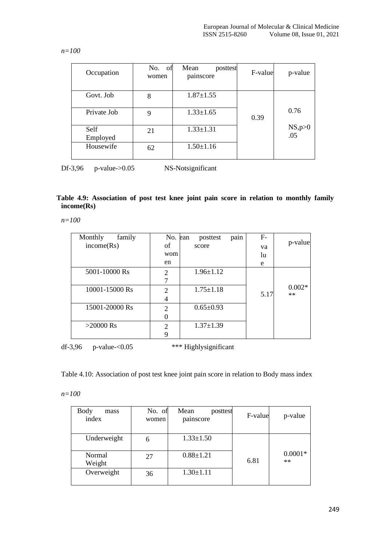*n=100*

| Occupation       | No. of<br>women | Mean<br>posttest<br>painscore | F-value | p-value        |
|------------------|-----------------|-------------------------------|---------|----------------|
| Govt. Job        | 8               | $1.87 \pm 1.55$               |         |                |
| Private Job      | 9               | $1.33 \pm 1.65$               | 0.39    | 0.76           |
| Self<br>Employed | 21              | $1.33 \pm 1.31$               |         | NS, p>0<br>.05 |
| Housewife        | 62              | $1.50 \pm 1.16$               |         |                |

Df-3,96 p-value->0.05 NS-Notsignificant

# **Table 4.9: Association of post test knee joint pain score in relation to monthly family income(Rs)**

*n=100*

| Monthly<br>family | No. ean               | posttest        | pain | $F-$ |          |
|-------------------|-----------------------|-----------------|------|------|----------|
| income(Rs)        | οf                    | score           |      | va   | p-value  |
|                   | wom                   |                 |      | lu   |          |
|                   | en                    |                 |      | e    |          |
| 5001-10000 Rs     | 2                     | $1.96 \pm 1.12$ |      |      |          |
|                   |                       |                 |      |      |          |
| 10001-15000 Rs    | $\mathcal{D}_{\cdot}$ | $1.75 \pm 1.18$ |      |      | $0.002*$ |
|                   | 4                     |                 |      | 5.17 | $**$     |
| 15001-20000 Rs    | 2                     | $0.65 \pm 0.93$ |      |      |          |
|                   |                       |                 |      |      |          |
| $>20000$ Rs       | 2                     | $1.37 \pm 1.39$ |      |      |          |
|                   | 9                     |                 |      |      |          |

df-3,96 p-value-<0.05 \*\*\* Highlysignificant

Table 4.10: Association of post test knee joint pain score in relation to Body mass index

*n=100*

| <b>Body</b><br>mass<br>index | No. of<br>women | Mean<br>posttest<br>painscore | F-value | p-value           |
|------------------------------|-----------------|-------------------------------|---------|-------------------|
| Underweight                  | 6               | $1.33 \pm 1.50$               |         |                   |
| Normal<br>Weight             | 27              | $0.88 \pm 1.21$               | 6.81    | $0.0001*$<br>$**$ |
| Overweight                   | 36              | $1.30 \pm 1.11$               |         |                   |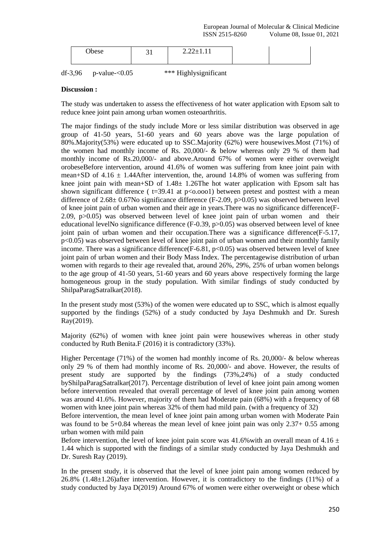| ۹۵۴۵ |  | <u>.</u> |  |  |
|------|--|----------|--|--|
|------|--|----------|--|--|

| $df-3,96$ | $p$ -value- $<0.05$ | *** Highlysignificant |
|-----------|---------------------|-----------------------|
|           |                     |                       |

### **Discussion :**

The study was undertaken to assess the effectiveness of hot water application with Epsom salt to reduce knee joint pain among urban women osteoarthritis.

The major findings of the study include More or less similar distribution was observed in age group of 41-50 years, 51-60 years and 60 years above was the large population of 80%.Majority(53%) were educated up to SSC.Majority (62%) were housewives.Most (71%) of the women had monthly income of Rs. 20,000/- & below whereas only 29 % of them had monthly income of Rs.20,000/- and above.Around 67% of women were either overweight orobeseBefore intervention, around 41.6% of women was suffering from knee joint pain with mean+SD of  $4.16 \pm 1.44$ After intervention, the, around 14.8% of women was suffering from knee joint pain with mean+SD of 1.48± 1.26The hot water application with Epsom salt has shown significant difference ( $t=39.41$  at  $p<sub>0.0001</sub>$ ) between pretest and posttest with a mean difference of  $2.68\pm 0.67$ No significance difference (F-2.09, p>0.05) was observed between level of knee joint pain of urban women and their age in years.There was no significance difference(F-2.09,  $p > 0.05$ ) was observed between level of knee joint pain of urban women and their educational levelNo significance difference (F-0.39, p>0.05) was observed between level of knee joint pain of urban women and their occupation.There was a significance difference(F-5.17, p<0.05) was observed between level of knee joint pain of urban women and their monthly family income. There was a significance difference  $(F-6.81, p<0.05)$  was observed between level of knee joint pain of urban women and their Body Mass Index. The percentagewise distribution of urban women with regards to their age revealed that, around 26%, 29%, 25% of urban women belongs to the age group of 41-50 years, 51-60 years and 60 years above respectively forming the large homogeneous group in the study population. With similar findings of study conducted by ShilpaParagSatralkar(2018).

In the present study most (53%) of the women were educated up to SSC, which is almost equally supported by the findings (52%) of a study conducted by Jaya Deshmukh and Dr. Suresh Ray(2019).

Majority (62%) of women with knee joint pain were housewives whereas in other study conducted by Ruth Benita.F (2016) it is contradictory (33%).

Higher Percentage  $(71\%)$  of the women had monthly income of Rs. 20,000/- & below whereas only 29 % of them had monthly income of Rs. 20,000/- and above. However, the results of present study are supported by the findings (73%,24%) of a study conducted byShilpaParagSatralkar(2017). Percentage distribution of level of knee joint pain among women before intervention revealed that overall percentage of level of knee joint pain among women was around 41.6%. However, majority of them had Moderate pain (68%) with a frequency of 68 women with knee joint pain whereas 32% of them had mild pain. (with a frequency of 32)

Before intervention, the mean level of knee joint pain among urban women with Moderate Pain was found to be 5+0.84 whereas the mean level of knee joint pain was only 2.37+ 0.55 among urban women with mild pain

Before intervention, the level of knee joint pain score was 41.6% with an overall mean of 4.16  $\pm$ 1.44 which is supported with the findings of a similar study conducted by Jaya Deshmukh and Dr. Suresh Ray (2019).

In the present study, it is observed that the level of knee joint pain among women reduced by 26.8% (1.48±1.26)after intervention. However, it is contradictory to the findings (11%) of a study conducted by Jaya D(2019) Around 67% of women were either overweight or obese which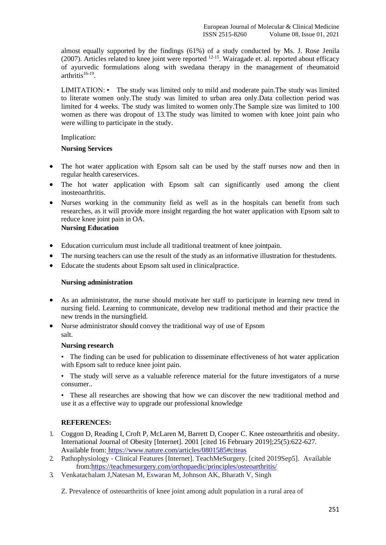almost equally supported by the findings (61%) of a study conducted by Ms. J. Rose Jenila  $(2007)$ . Articles related to knee joint were reported  $12-15$ . Wairagade et. al. reported about efficacy of ayurvedic formulations along with swedana therapy in the management of rheumatoid  $arthritis<sup>16-19</sup>$ .

LIMITATION: • The study was limited only to mild and moderate pain.The study was limited to literate women only.The study was limited to urban area only.Data collection period was limited for 4 weeks. The study was limited to women only.The Sample size was limited to 100 women as there was dropout of 13.The study was limited to women with knee joint pain who were willing to participate in the study.

#### Implication:

# **Nursing Services**

- The hot water application with Epsom salt can be used by the staff nurses now and then in regular health careservices.
- The hot water application with Epsom salt can significantly used among the client inosteoarthritis.
- Nurses working in the community field as well as in the hospitals can benefit from such researches, as it will provide more insight regarding the hot water application with Epsom salt to reduce knee joint pain in OA. **Nursing Education**

- Education curriculum must include all traditional treatment of knee jointpain.
- The nursing teachers can use the result of the study as an informative illustration for thestudents.
- Educate the students about Epsom salt used in clinicalpractice.

#### **Nursing administration**

- As an administrator, the nurse should motivate her staff to participate in learning new trend in nursing field. Learning to communicate, develop new traditional method and their practice the new trends in the nursingfield.
- Nurse administrator should convey the traditional way of use of Epsom salt.

#### **Nursing research**

• The finding can be used for publication to disseminate effectiveness of hot water application with Epsom salt to reduce knee joint pain.

• The study will serve as a valuable reference material for the future investigators of a nurse consumer..

• These all researches are showing that how we can discover the new traditional method and use it as a effective way to upgrade our professional knowledge

# **REFERENCES:**

- 1. Coggon D, Reading I, Croft P, McLaren M, Barrett D, Cooper C. Knee osteoarthritis and obesity. International Journal of Obesity [Internet]. 2001 [cited 16 February 2019];25(5):622-627. Available from: <https://www.nature.com/articles/0801585#citeas>
- 2. Pathophysiology Clinical Features [Internet]. TeachMeSurgery. [cited 2019Sep5]. Available fro[m:https://teachmesurgery.com/orthopaedic/principles/osteoarthritis/](https://teachmesurgery.com/orthopaedic/principles/osteoarthritis/)
- 3. Venkatachalam J,Natesan M, Eswaran M, Johnson AK, Bharath V, Singh

Z. Prevalence of osteoarthritis of knee joint among adult population in a rural area of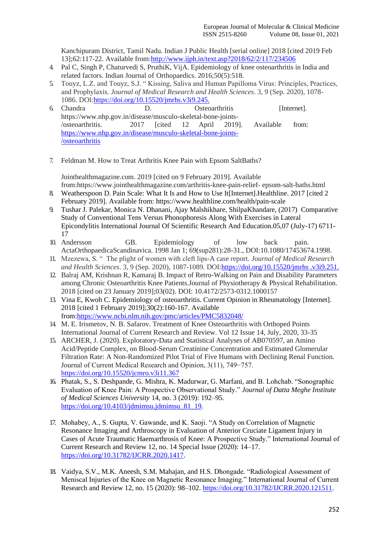Kanchipuram District, Tamil Nadu. Indian J Public Health [serial online] 2018 [cited 2019 Feb 13];62:117-22. Available from[:http://www.ijph.in/text.asp?2018/62/2/117/234506](http://www.ijph.in/text.asp?2018/62/2/117/234506)

- 4. Pal C, Singh P, Chaturvedi S, PruthiK, VijA. Epidemiology of knee osteoarthritis in India and related factors. Indian Journal of Orthopaedics. 2016;50(5):518.
- 5. Touyz, L.Z. and Touyz, S.J. " Kissing, Saliva and Human Papilloma Virus: Principles, Practices, and Prophylaxis. *Journal of Medical Research and Health Sciences*. 3, 9 (Sep. 2020), 1078- 1086. DOI[:https://doi.org/10.15520/jmrhs.v3i9.245.](https://doi.org/10.15520/jmrhs.v3i9.245.)
- 6. Chandra D. Osteoarthritis [Internet]. https:[//www.nhp.gov.in/disease/musculo-skeletal-bone-joints-](http://www.nhp.gov.in/disease/musculo-skeletal-bone-joints-) /osteoarthritis. 2017 [cited 12 April 2019]. Available from: [https://www.nhp.gov.in/disease/musculo-skeletal-bone-joints-](https://www.nhp.gov.in/disease/musculo-skeletal-bone-joints-/osteoarthritis) [/osteoarthritis](https://www.nhp.gov.in/disease/musculo-skeletal-bone-joints-/osteoarthritis)
- 7. Feldman M. How to Treat Arthritis Knee Pain with Epsom SaltBaths?

Jointhealthmagazine.com. 2019 [cited on 9 February 2019]. Available from:https:[//www.jointhealthmagazine.com/arthritis-knee-pain-relief-](http://www.jointhealthmagazine.com/arthritis-knee-pain-relief-) epsom-salt-baths.html

- 8. Weatherspoon D. Pain Scale: What It Is and How to Use It[Internet].Healthline. 2017 [cited 2 February 2019]. Available from: https:[//www.healthline.com/health/pain-scale](http://www.healthline.com/health/pain-scale)
- 9. Tushar J. Palekar, Monica N. Dhanani, Ajay Malshikhare, ShilpaKhandare, (2017) Comparative Study of Conventional Tens Versus Phonophoresis Along With Exercises in Lateral Epicondylitis International Journal Of Scientific Research And Education.05,07 (July-17) 6711- 17
- 10. Andersson GB. Epidemiology of low back pain. ActaOrthopaedicaScandinavica. 1998 Jan 1; 69(sup281):28-31., DOI:10.1080/17453674.1998.
- 11. Mzezewa, S. " The plight of women with cleft lips-A case report. *Journal of Medical Research and Health Sciences*. 3, 9 (Sep. 2020), 1087-1089. DOI[:https://doi.org/10.15520/jmrhs .v3i9.251.](https://doi.org/10.15520/jmrhs%20.v3i9.251.)
- 12. Balraj AM, Krishnan R, Kamaraj B. Impact of Retro-Walking on Pain and Disability Parameters among Chronic Osteoarthritis Knee Patients.Journal of Physiotherapy & Physical Rehabilitation. 2018 [cited on 23 January 2019];03(02). DOI: 10.4172/2573-0312.1000157
- 13. Vina E, Kwoh C. Epidemiology of osteoarthritis. Current Opinion in Rheumatology [Internet]. 2018 [cited 1 February 2019];30(2):160-167. Available from[:https://www.ncbi.nlm.nih.gov/pmc/articles/PMC5832048/](https://www.ncbi.nlm.nih.gov/pmc/articles/PMC5832048/)
- 14. M. E. Irismetov, N. B. Safarov. Treatment of Knee Osteoarthritis with Orthoped Points International Journal of Current Research and Review. Vol 12 Issue 14, July, 2020, 33-35
- 15. ARCHER, J. (2020). Exploratory-Data and Statistical Analyses of AB070597, an Amino Acid/Peptide Complex, on Blood-Serum Creatinine Concentration and Estimated Glomerular Filtration Rate: A Non-Randomized Pilot Trial of Five Humans with Declining Renal Function. Journal of Current Medical Research and Opinion, 3(11), 749−757. <https://doi.org/10.15520/jcmro.v3i11.367>
- 16. Phatak, S., S. Deshpande, G. Mishra, K. Madurwar, G. Marfani, and B. Lohchab. "Sonographic Evaluation of Knee Pain: A Prospective Observational Study." *Journal of Datta Meghe Institute of Medical Sciences University* 14, no. 3 (2019): 192–95. [https://doi.org/10.4103/jdmimsu.jdmimsu\\_81\\_19.](https://doi.org/10.4103/jdmimsu.jdmimsu_81_19)
- 17. Mohabey, A., S. Gupta, V. Gawande, and K. Saoji. "A Study on Correlation of Magnetic Resonance Imaging and Arthroscopy in Evaluation of Anterior Cruciate Ligament Injury in Cases of Acute Traumatic Haemarthrosis of Knee: A Prospective Study." International Journal of Current Research and Review 12, no. 14 Special Issue (2020): 14–17. [https://doi.org/10.31782/IJCRR.2020.1417.](https://doi.org/10.31782/IJCRR.2020.1417)
- 18. Vaidya, S.V., M.K. Aneesh, S.M. Mahajan, and H.S. Dhongade. "Radiological Assessment of Meniscal Injuries of the Knee on Magnetic Resonance Imaging." International Journal of Current Research and Review 12, no. 15 (2020): 98–102[. https://doi.org/10.31782/IJCRR.2020.121511.](https://doi.org/10.31782/IJCRR.2020.121511)